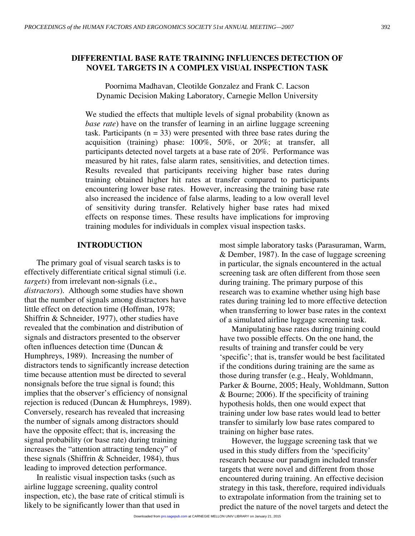## **DIFFERENTIAL BASE RATE TRAINING INFLUENCES DETECTION OF NOVEL TARGETS IN A COMPLEX VISUAL INSPECTION TASK**

Poornima Madhavan, Cleotilde Gonzalez and Frank C. Lacson Dynamic Decision Making Laboratory, Carnegie Mellon University

We studied the effects that multiple levels of signal probability (known as *base rate*) have on the transfer of learning in an airline luggage screening task. Participants  $(n = 33)$  were presented with three base rates during the acquisition (training) phase: 100%, 50%, or 20%; at transfer, all participants detected novel targets at a base rate of 20%. Performance was measured by hit rates, false alarm rates, sensitivities, and detection times. Results revealed that participants receiving higher base rates during training obtained higher hit rates at transfer compared to participants encountering lower base rates. However, increasing the training base rate also increased the incidence of false alarms, leading to a low overall level of sensitivity during transfer. Relatively higher base rates had mixed effects on response times. These results have implications for improving training modules for individuals in complex visual inspection tasks.

## **INTRODUCTION**

The primary goal of visual search tasks is to effectively differentiate critical signal stimuli (i.e. *targets*) from irrelevant non-signals (i.e., *distractors*). Although some studies have shown that the number of signals among distractors have little effect on detection time (Hoffman, 1978; Shiffrin & Schneider, 1977), other studies have revealed that the combination and distribution of signals and distractors presented to the observer often influences detection time (Duncan & Humphreys, 1989). Increasing the number of distractors tends to significantly increase detection time because attention must be directed to several nonsignals before the true signal is found; this implies that the observer's efficiency of nonsignal rejection is reduced (Duncan & Humphreys, 1989). Conversely, research has revealed that increasing the number of signals among distractors should have the opposite effect; that is, increasing the signal probability (or base rate) during training increases the "attention attracting tendency" of these signals (Shiffrin & Schneider, 1984), thus leading to improved detection performance.

In realistic visual inspection tasks (such as airline luggage screening, quality control inspection, etc), the base rate of critical stimuli is likely to be significantly lower than that used in

most simple laboratory tasks (Parasuraman, Warm, & Dember, 1987). In the case of luggage screening in particular, the signals encountered in the actual screening task are often different from those seen during training. The primary purpose of this research was to examine whether using high base rates during training led to more effective detection when transferring to lower base rates in the context of a simulated airline luggage screening task.

Manipulating base rates during training could have two possible effects. On the one hand, the results of training and transfer could be very 'specific'; that is, transfer would be best facilitated if the conditions during training are the same as those during transfer (e.g., Healy, Wohldmann, Parker & Bourne, 2005; Healy, Wohldmann, Sutton & Bourne; 2006). If the specificity of training hypothesis holds, then one would expect that training under low base rates would lead to better transfer to similarly low base rates compared to training on higher base rates.

However, the luggage screening task that we used in this study differs from the 'specificity' research because our paradigm included transfer targets that were novel and different from those encountered during training. An effective decision strategy in this task, therefore, required individuals to extrapolate information from the training set to predict the nature of the novel targets and detect the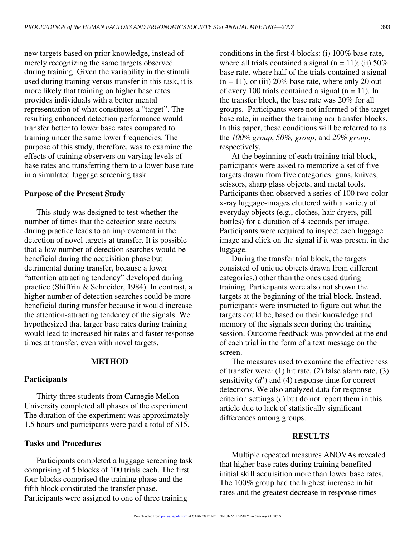new targets based on prior knowledge, instead of merely recognizing the same targets observed during training. Given the variability in the stimuli used during training versus transfer in this task, it is more likely that training on higher base rates provides individuals with a better mental representation of what constitutes a "target". The resulting enhanced detection performance would transfer better to lower base rates compared to training under the same lower frequencies. The purpose of this study, therefore, was to examine the effects of training observers on varying levels of base rates and transferring them to a lower base rate in a simulated luggage screening task.

## **Purpose of the Present Study**

This study was designed to test whether the number of times that the detection state occurs during practice leads to an improvement in the detection of novel targets at transfer. It is possible that a low number of detection searches would be beneficial during the acquisition phase but detrimental during transfer, because a lower "attention attracting tendency" developed during practice (Shiffrin & Schneider, 1984). In contrast, a higher number of detection searches could be more beneficial during transfer because it would increase the attention-attracting tendency of the signals. We hypothesized that larger base rates during training would lead to increased hit rates and faster response times at transfer, even with novel targets.

#### **METHOD**

## **Participants**

Thirty-three students from Carnegie Mellon University completed all phases of the experiment. The duration of the experiment was approximately 1.5 hours and participants were paid a total of \$15.

## **Tasks and Procedures**

Participants completed a luggage screening task comprising of 5 blocks of 100 trials each. The first four blocks comprised the training phase and the fifth block constituted the transfer phase. Participants were assigned to one of three training

conditions in the first 4 blocks: (i) 100% base rate, where all trials contained a signal  $(n = 11)$ ; (ii) 50% base rate, where half of the trials contained a signal  $(n = 11)$ , or (iii) 20% base rate, where only 20 out of every 100 trials contained a signal  $(n = 11)$ . In the transfer block, the base rate was 20% for all groups. Participants were not informed of the target base rate, in neither the training nor transfer blocks. In this paper, these conditions will be referred to as the *100% group*, *50%, group*, and *20% group*, respectively.

At the beginning of each training trial block, participants were asked to memorize a set of five targets drawn from five categories: guns, knives, scissors, sharp glass objects, and metal tools. Participants then observed a series of 100 two-color x-ray luggage-images cluttered with a variety of everyday objects (e.g., clothes, hair dryers, pill bottles) for a duration of 4 seconds per image. Participants were required to inspect each luggage image and click on the signal if it was present in the luggage.

During the transfer trial block, the targets consisted of unique objects drawn from different categories,) other than the ones used during training. Participants were also not shown the targets at the beginning of the trial block. Instead, participants were instructed to figure out what the targets could be, based on their knowledge and memory of the signals seen during the training session. Outcome feedback was provided at the end of each trial in the form of a text message on the screen.

The measures used to examine the effectiveness of transfer were: (1) hit rate, (2) false alarm rate, (3) sensitivity  $(d')$  and  $(4)$  response time for correct detections. We also analyzed data for response criterion settings  $(c)$  but do not report them in this article due to lack of statistically significant differences among groups.

#### **RESULTS**

Multiple repeated measures ANOVAs revealed that higher base rates during training benefited initial skill acquisition more than lower base rates. The 100% group had the highest increase in hit rates and the greatest decrease in response times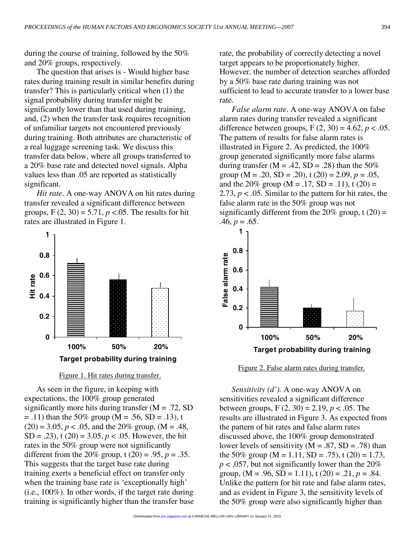during the course of training, followed by the 50% and 20% groups, respectively.

The question that arises is - Would higher base rates during training result in similar benefits during transfer? This is particularly critical when (1) the signal probability during transfer might be significantly lower than that used during training, and, (2) when the transfer task requires recognition of unfamiliar targets not encountered previously during training. Both attributes are characteristic of a real luggage screening task. We discuss this transfer data below, where all groups transferred to a 20% base rate and detected novel signals. Alpha values less than .05 are reported as statistically significant.

*Hit rate*. A one-way ANOVA on hit rates during transfer revealed a significant difference between groups,  $F(2, 30) = 5.71$ ,  $p < .05$ . The results for hit rates are illustrated in Figure 1.



#### Figure 1. Hit rates during transfer.

As seen in the figure, in keeping with expectations, the 100% group generated significantly more hits during transfer  $(M = .72, SD)$  $= .11$ ) than the 50% group (M = .56, SD = .13), t  $(20) = 3.05$ ,  $p < .05$ , and the 20% group, (M = .48, SD = .23), t (20) = 3.05,  $p < .05$ . However, the hit rates in the 50% group were not significantly different from the 20% group,  $t(20) = .95$ ,  $p = .35$ . This suggests that the target base rate during training exerts a beneficial effect on transfer only when the training base rate is 'exceptionally high' (i.e., 100%). In other words, if the target rate during training is significantly higher than the transfer base

rate, the probability of correctly detecting a novel target appears to be proportionately higher. However, the number of detection searches afforded by a 50% base rate during training was not sufficient to lead to accurate transfer to a lower base rate.

*False alarm rate*. A one-way ANOVA on false alarm rates during transfer revealed a significant difference between groups,  $F(2, 30) = 4.62$ ,  $p < .05$ . The pattern of results for false alarm rates is illustrated in Figure 2. As predicted, the 100% group generated significantly more false alarms during transfer ( $M = .42$ ,  $SD = .28$ ) than the 50% group ( $M = .20$ ,  $SD = .20$ ),  $t(20) = 2.09$ ,  $p = .05$ , and the 20% group (M = .17, SD = .11), t (20) = 2.73,  $p < .05$ . Similar to the pattern for hit rates, the false alarm rate in the 50% group was not significantly different from the 20% group,  $t(20) =$  $.46, p = .65.$ 



Figure 2. False alarm rates during transfer.

*Sensitivity (d').* A one-way ANOVA on sensitivities revealed a significant difference between groups,  $F(2, 30) = 2.19$ ,  $p < .05$ . The results are illustrated in Figure 3. As expected from the pattern of hit rates and false alarm rates discussed above, the 100% group demonstrated lower levels of sensitivity ( $M = .87$ , SD = .78) than the 50% group (M = 1.11, SD = .75), t (20) = 1.73,  $p < .057$ , but not significantly lower than the 20% group,  $(M = .96, SD = 1.11)$ ,  $t(20) = .21$ ,  $p = .84$ . Unlike the pattern for hit rate and false alarm rates, and as evident in Figure 3, the sensitivity levels of the 50% group were also significantly higher than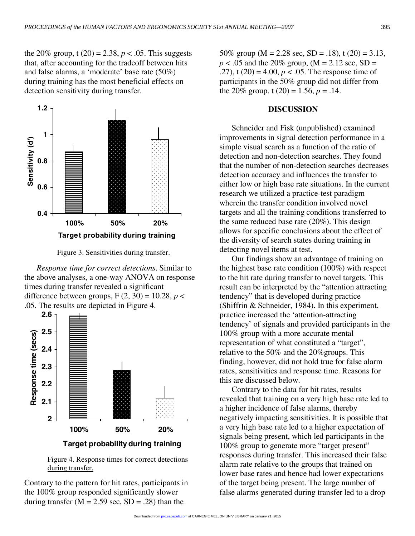the 20% group, t (20) = 2.38,  $p < .05$ . This suggests that, after accounting for the tradeoff between hits and false alarms, a 'moderate' base rate  $(50\%)$ during training has the most beneficial effects on detection sensitivity during transfer.





*Response time for correct detections*. Similar to the above analyses, a one-way ANOVA on response times during transfer revealed a significant difference between groups,  $F(2, 30) = 10.28$ ,  $p <$ .05. The results are depicted in Figure 4.



**Target probability during training**

### Figure 4. Response times for correct detections during transfer.

Contrary to the pattern for hit rates, participants in the 100% group responded significantly slower during transfer ( $M = 2.59$  sec,  $SD = .28$ ) than the

50% group (M = 2.28 sec, SD = .18), t (20) = 3.13,  $p < .05$  and the 20% group, (M = 2.12 sec, SD = .27), t  $(20) = 4.00$ ,  $p < .05$ . The response time of participants in the 50% group did not differ from the 20% group, t (20) = 1.56,  $p = .14$ .

## **DISCUSSION**

Schneider and Fisk (unpublished) examined improvements in signal detection performance in a simple visual search as a function of the ratio of detection and non-detection searches. They found that the number of non-detection searches decreases detection accuracy and influences the transfer to either low or high base rate situations. In the current research we utilized a practice-test paradigm wherein the transfer condition involved novel targets and all the training conditions transferred to the same reduced base rate (20%). This design allows for specific conclusions about the effect of the diversity of search states during training in detecting novel items at test.

Our findings show an advantage of training on the highest base rate condition (100%) with respect to the hit rate during transfer to novel targets. This result can be interpreted by the "attention attracting" tendency" that is developed during practice (Shiffrin & Schneider, 1984). In this experiment, practice increased the ëattention-attracting tendencyí of signals and provided participants in the 100% group with a more accurate mental representation of what constituted a "target", relative to the 50% and the 20%groups. This finding, however, did not hold true for false alarm rates, sensitivities and response time. Reasons for this are discussed below.

Contrary to the data for hit rates, results revealed that training on a very high base rate led to a higher incidence of false alarms, thereby negatively impacting sensitivities. It is possible that a very high base rate led to a higher expectation of signals being present, which led participants in the 100% group to generate more "target present" responses during transfer. This increased their false alarm rate relative to the groups that trained on lower base rates and hence had lower expectations of the target being present. The large number of false alarms generated during transfer led to a drop